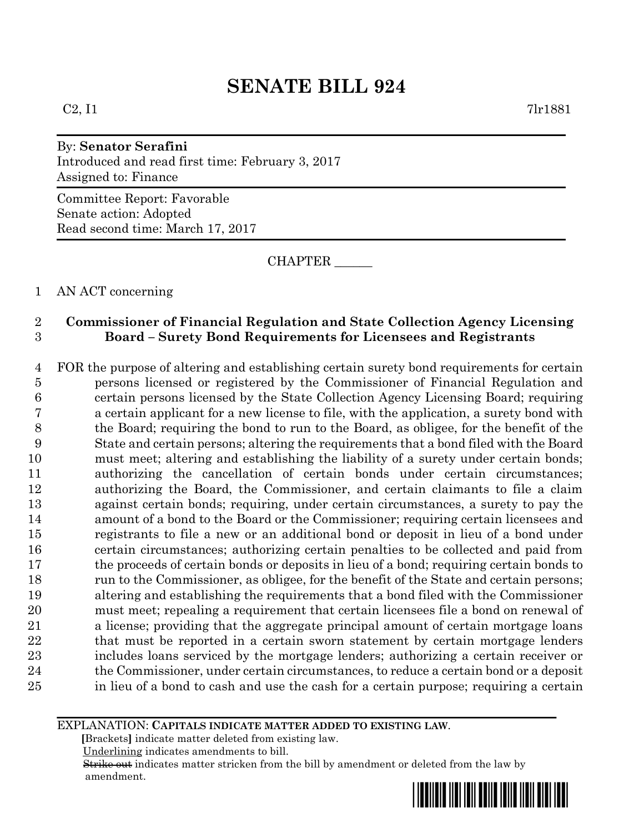## By: **Senator Serafini** Introduced and read first time: February 3, 2017 Assigned to: Finance

Committee Report: Favorable Senate action: Adopted Read second time: March 17, 2017

CHAPTER \_\_\_\_\_\_

1 AN ACT concerning

# 2 **Commissioner of Financial Regulation and State Collection Agency Licensing**  3 **Board – Surety Bond Requirements for Licensees and Registrants**

 FOR the purpose of altering and establishing certain surety bond requirements for certain persons licensed or registered by the Commissioner of Financial Regulation and certain persons licensed by the State Collection Agency Licensing Board; requiring a certain applicant for a new license to file, with the application, a surety bond with the Board; requiring the bond to run to the Board, as obligee, for the benefit of the State and certain persons; altering the requirements that a bond filed with the Board must meet; altering and establishing the liability of a surety under certain bonds; authorizing the cancellation of certain bonds under certain circumstances; authorizing the Board, the Commissioner, and certain claimants to file a claim against certain bonds; requiring, under certain circumstances, a surety to pay the amount of a bond to the Board or the Commissioner; requiring certain licensees and registrants to file a new or an additional bond or deposit in lieu of a bond under certain circumstances; authorizing certain penalties to be collected and paid from the proceeds of certain bonds or deposits in lieu of a bond; requiring certain bonds to run to the Commissioner, as obligee, for the benefit of the State and certain persons; altering and establishing the requirements that a bond filed with the Commissioner must meet; repealing a requirement that certain licensees file a bond on renewal of a license; providing that the aggregate principal amount of certain mortgage loans 22 that must be reported in a certain sworn statement by certain mortgage lenders includes loans serviced by the mortgage lenders; authorizing a certain receiver or 24 the Commissioner, under certain circumstances, to reduce a certain bond or a deposit in lieu of a bond to cash and use the cash for a certain purpose; requiring a certain

#### EXPLANATION: **CAPITALS INDICATE MATTER ADDED TO EXISTING LAW**.

 **[**Brackets**]** indicate matter deleted from existing law.

Underlining indicates amendments to bill.

 Strike out indicates matter stricken from the bill by amendment or deleted from the law by amendment.

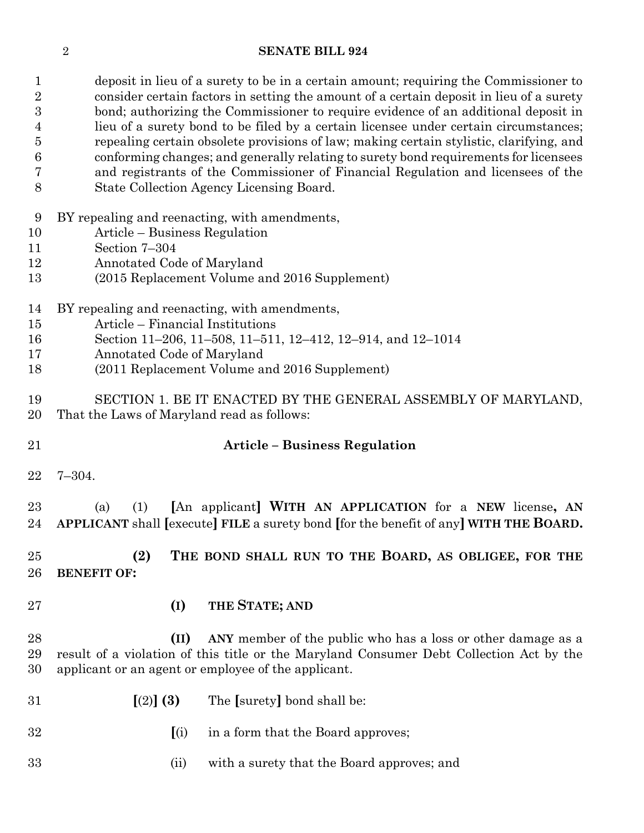| $\mathbf{1}$<br>$\overline{2}$ | deposit in lieu of a surety to be in a certain amount; requiring the Commissioner to<br>consider certain factors in setting the amount of a certain deposit in lieu of a surety |  |  |  |  |  |  |  |
|--------------------------------|---------------------------------------------------------------------------------------------------------------------------------------------------------------------------------|--|--|--|--|--|--|--|
| 3                              | bond; authorizing the Commissioner to require evidence of an additional deposit in                                                                                              |  |  |  |  |  |  |  |
| 4                              | lieu of a surety bond to be filed by a certain licensee under certain circumstances;                                                                                            |  |  |  |  |  |  |  |
| 5                              | repealing certain obsolete provisions of law; making certain stylistic, clarifying, and                                                                                         |  |  |  |  |  |  |  |
| 6                              | conforming changes; and generally relating to surety bond requirements for licensees                                                                                            |  |  |  |  |  |  |  |
| 7                              | and registrants of the Commissioner of Financial Regulation and licensees of the                                                                                                |  |  |  |  |  |  |  |
| 8                              | State Collection Agency Licensing Board.                                                                                                                                        |  |  |  |  |  |  |  |
| 9                              | BY repealing and reenacting, with amendments,                                                                                                                                   |  |  |  |  |  |  |  |
| 10                             | Article – Business Regulation                                                                                                                                                   |  |  |  |  |  |  |  |
| 11                             | Section 7-304                                                                                                                                                                   |  |  |  |  |  |  |  |
| 12                             | Annotated Code of Maryland                                                                                                                                                      |  |  |  |  |  |  |  |
| 13                             | (2015 Replacement Volume and 2016 Supplement)                                                                                                                                   |  |  |  |  |  |  |  |
| 14                             | BY repealing and reenacting, with amendments,                                                                                                                                   |  |  |  |  |  |  |  |
| 15                             | Article – Financial Institutions                                                                                                                                                |  |  |  |  |  |  |  |
| 16                             | Section 11-206, 11-508, 11-511, 12-412, 12-914, and 12-1014                                                                                                                     |  |  |  |  |  |  |  |
| 17                             | Annotated Code of Maryland                                                                                                                                                      |  |  |  |  |  |  |  |
| 18                             | (2011 Replacement Volume and 2016 Supplement)                                                                                                                                   |  |  |  |  |  |  |  |
| 19                             | SECTION 1. BE IT ENACTED BY THE GENERAL ASSEMBLY OF MARYLAND,                                                                                                                   |  |  |  |  |  |  |  |
| 20                             | That the Laws of Maryland read as follows:                                                                                                                                      |  |  |  |  |  |  |  |
| 21                             | <b>Article – Business Regulation</b>                                                                                                                                            |  |  |  |  |  |  |  |
| 22                             | $7 - 304.$                                                                                                                                                                      |  |  |  |  |  |  |  |
| 23<br>24                       | [An applicant] WITH AN APPLICATION for a NEW license, AN<br>(1)<br>(a)<br>APPLICANT shall [execute] FILE a surety bond [for the benefit of any] WITH THE BOARD.                 |  |  |  |  |  |  |  |
| $25\,$<br>26                   | (2)<br>THE BOND SHALL RUN TO THE BOARD, AS OBLIGEE, FOR THE<br><b>BENEFIT OF:</b>                                                                                               |  |  |  |  |  |  |  |
| $27\,$                         | THE STATE; AND<br>(I)                                                                                                                                                           |  |  |  |  |  |  |  |
| 28                             | ANY member of the public who has a loss or other damage as a<br>(II)                                                                                                            |  |  |  |  |  |  |  |
| 29                             | result of a violation of this title or the Maryland Consumer Debt Collection Act by the                                                                                         |  |  |  |  |  |  |  |
| 30                             | applicant or an agent or employee of the applicant.                                                                                                                             |  |  |  |  |  |  |  |
| $31\,$                         | [2] (3)<br>The [surety] bond shall be:                                                                                                                                          |  |  |  |  |  |  |  |
| 32                             | in a form that the Board approves;<br>(i)                                                                                                                                       |  |  |  |  |  |  |  |
| 33                             | (ii)<br>with a surety that the Board approves; and                                                                                                                              |  |  |  |  |  |  |  |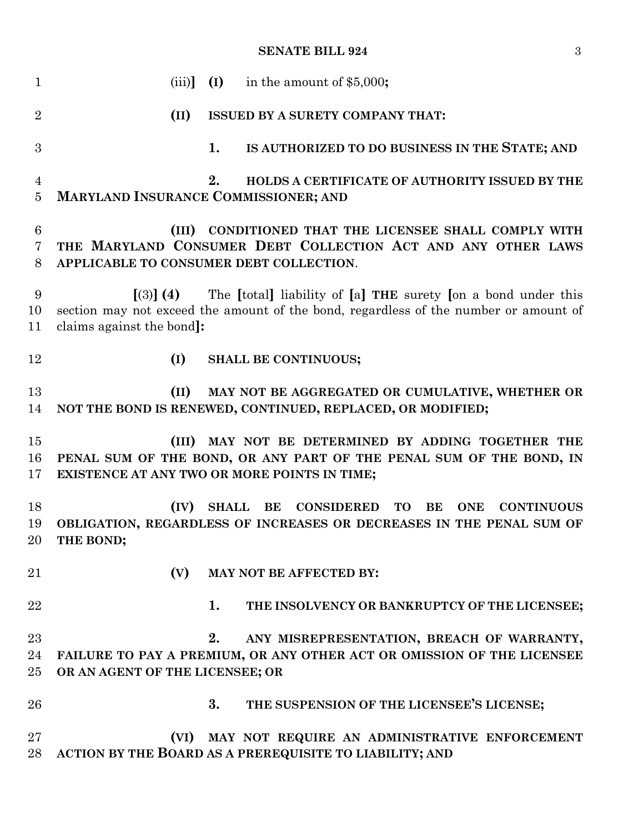| $\mathbf{1}$                     | (iii)                                        | (I)          | in the amount of $$5,000$ ;                                                                                                                                         |
|----------------------------------|----------------------------------------------|--------------|---------------------------------------------------------------------------------------------------------------------------------------------------------------------|
| $\overline{2}$                   | (II)                                         |              | <b>ISSUED BY A SURETY COMPANY THAT:</b>                                                                                                                             |
| 3                                |                                              | 1.           | IS AUTHORIZED TO DO BUSINESS IN THE STATE; AND                                                                                                                      |
| $\overline{4}$<br>$\overline{5}$ | <b>MARYLAND INSURANCE COMMISSIONER; AND</b>  | 2.           | HOLDS A CERTIFICATE OF AUTHORITY ISSUED BY THE                                                                                                                      |
| 6<br>7<br>8                      | APPLICABLE TO CONSUMER DEBT COLLECTION.      |              | (III) CONDITIONED THAT THE LICENSEE SHALL COMPLY WITH<br>THE MARYLAND CONSUMER DEBT COLLECTION ACT AND ANY OTHER LAWS                                               |
| 9<br>10<br>11                    | $(3)$ (4)<br>claims against the bond]:       |              | The <i>[total]</i> liability of [a] <b>THE</b> surety [on a bond under this<br>section may not exceed the amount of the bond, regardless of the number or amount of |
| 12                               | (I)                                          |              | SHALL BE CONTINUOUS;                                                                                                                                                |
| 13<br>14                         | (II)                                         |              | MAY NOT BE AGGREGATED OR CUMULATIVE, WHETHER OR<br>NOT THE BOND IS RENEWED, CONTINUED, REPLACED, OR MODIFIED;                                                       |
| 15<br>16<br>17                   | EXISTENCE AT ANY TWO OR MORE POINTS IN TIME; |              | (III) MAY NOT BE DETERMINED BY ADDING TOGETHER THE<br>PENAL SUM OF THE BOND, OR ANY PART OF THE PENAL SUM OF THE BOND, IN                                           |
| 18<br>19<br>20                   | (IV)<br>THE BOND;                            | <b>SHALL</b> | $\bf BE$<br><b>CONSIDERED</b><br>TO<br>BE<br><b>ONE</b><br><b>CONTINUOUS</b><br>OBLIGATION, REGARDLESS OF INCREASES OR DECREASES IN THE PENAL SUM OF                |
| 21                               | (V)                                          |              | <b>MAY NOT BE AFFECTED BY:</b>                                                                                                                                      |
| 22                               |                                              | 1.           | THE INSOLVENCY OR BANKRUPTCY OF THE LICENSEE;                                                                                                                       |
| 23<br>24<br>$25\,$               | OR AN AGENT OF THE LICENSEE; OR              | 2.           | ANY MISREPRESENTATION, BREACH OF WARRANTY,<br>FAILURE TO PAY A PREMIUM, OR ANY OTHER ACT OR OMISSION OF THE LICENSEE                                                |
| 26                               |                                              | 3.           | THE SUSPENSION OF THE LICENSEE'S LICENSE;                                                                                                                           |
| 27<br>28                         | (VI)                                         |              | MAY NOT REQUIRE AN ADMINISTRATIVE ENFORCEMENT<br>ACTION BY THE BOARD AS A PREREQUISITE TO LIABILITY; AND                                                            |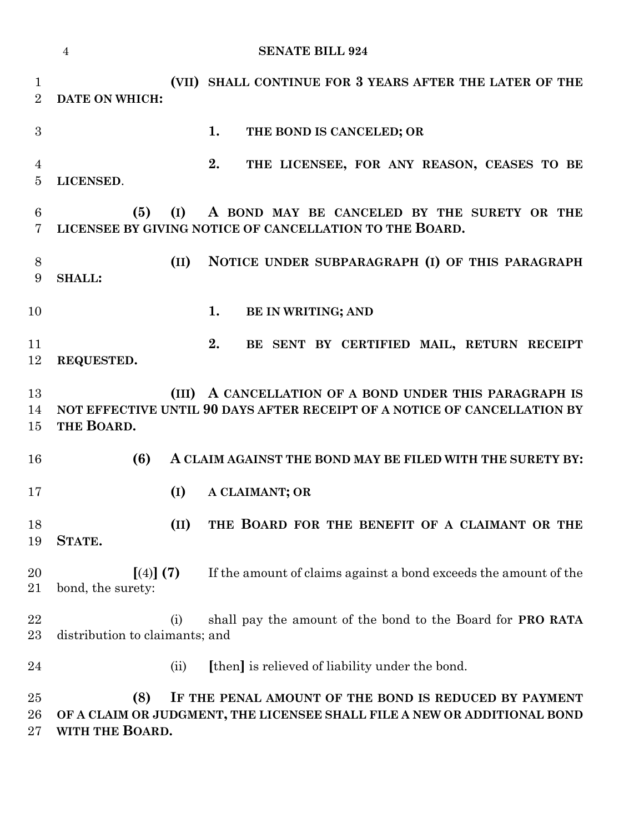|                                  | $\overline{4}$                   |       | <b>SENATE BILL 924</b>                                                                                                            |
|----------------------------------|----------------------------------|-------|-----------------------------------------------------------------------------------------------------------------------------------|
| 1<br>$\overline{2}$              | <b>DATE ON WHICH:</b>            |       | (VII) SHALL CONTINUE FOR 3 YEARS AFTER THE LATER OF THE                                                                           |
| 3                                |                                  |       | 1.<br>THE BOND IS CANCELED; OR                                                                                                    |
| $\overline{4}$<br>$\overline{5}$ | LICENSED.                        |       | 2.<br>THE LICENSEE, FOR ANY REASON, CEASES TO BE                                                                                  |
| 6<br>$\overline{7}$              | (5)                              | (I)   | A BOND MAY BE CANCELED BY THE SURETY OR THE<br>LICENSEE BY GIVING NOTICE OF CANCELLATION TO THE BOARD.                            |
| $8\,$<br>9                       | <b>SHALL:</b>                    | (II)  | NOTICE UNDER SUBPARAGRAPH (I) OF THIS PARAGRAPH                                                                                   |
| 10                               |                                  |       | 1.<br>BE IN WRITING; AND                                                                                                          |
| 11<br>12                         | REQUESTED.                       |       | 2.<br>BE SENT BY CERTIFIED MAIL, RETURN RECEIPT                                                                                   |
| 13<br>14<br>15                   | THE BOARD.                       | (III) | A CANCELLATION OF A BOND UNDER THIS PARAGRAPH IS<br>NOT EFFECTIVE UNTIL 90 DAYS AFTER RECEIPT OF A NOTICE OF CANCELLATION BY      |
| 16                               | (6)                              |       | A CLAIM AGAINST THE BOND MAY BE FILED WITH THE SURETY BY:                                                                         |
| 17                               |                                  | (I)   | A CLAIMANT; OR                                                                                                                    |
| 18<br>19                         | STATE.                           | (II)  | THE BOARD FOR THE BENEFIT OF A CLAIMANT OR THE                                                                                    |
| 20<br>21                         | [ (4) ] (7)<br>bond, the surety: |       | If the amount of claims against a bond exceeds the amount of the                                                                  |
| 22<br>23                         | distribution to claimants; and   | (i)   | shall pay the amount of the bond to the Board for <b>PRO RATA</b>                                                                 |
| 24                               |                                  | (ii)  | [then] is relieved of liability under the bond.                                                                                   |
| 25<br>26<br>27                   | (8)<br>WITH THE BOARD.           |       | IF THE PENAL AMOUNT OF THE BOND IS REDUCED BY PAYMENT<br>OF A CLAIM OR JUDGMENT, THE LICENSEE SHALL FILE A NEW OR ADDITIONAL BOND |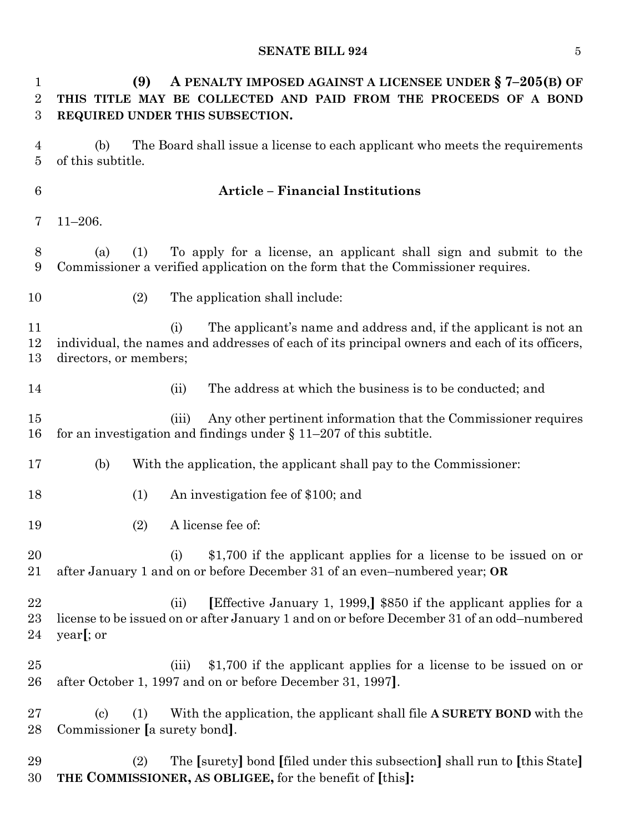**(9) A PENALTY IMPOSED AGAINST A LICENSEE UNDER § 7–205(B) OF THIS TITLE MAY BE COLLECTED AND PAID FROM THE PROCEEDS OF A BOND REQUIRED UNDER THIS SUBSECTION.** (b) The Board shall issue a license to each applicant who meets the requirements of this subtitle. **Article – Financial Institutions** 11–206. (a) (1) To apply for a license, an applicant shall sign and submit to the Commissioner a verified application on the form that the Commissioner requires. 10 (2) The application shall include: (i) The applicant's name and address and, if the applicant is not an individual, the names and addresses of each of its principal owners and each of its officers, directors, or members; (ii) The address at which the business is to be conducted; and (iii) Any other pertinent information that the Commissioner requires 16 for an investigation and findings under  $\S 11-207$  of this subtitle. (b) With the application, the applicant shall pay to the Commissioner: (1) An investigation fee of \$100; and (2) A license fee of: (i) \$1,700 if the applicant applies for a license to be issued on or after January 1 and on or before December 31 of an even–numbered year; **OR** (ii) **[**Effective January 1, 1999,**]** \$850 if the applicant applies for a license to be issued on or after January 1 and on or before December 31 of an odd–numbered year**[**; or (iii) \$1,700 if the applicant applies for a license to be issued on or after October 1, 1997 and on or before December 31, 1997**]**. (c) (1) With the application, the applicant shall file **A SURETY BOND** with the Commissioner **[**a surety bond**]**. (2) The **[**surety**]** bond **[**filed under this subsection**]** shall run to **[**this State**] THE COMMISSIONER, AS OBLIGEE,** for the benefit of **[**this**]:**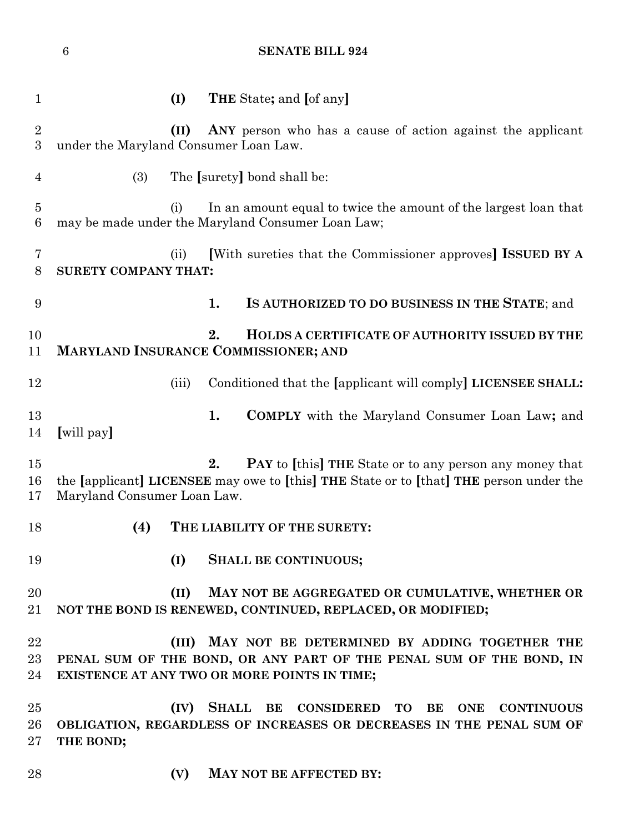**(I) THE** State**;** and **[**of any**] (II) ANY** person who has a cause of action against the applicant under the Maryland Consumer Loan Law. (3) The **[**surety**]** bond shall be: (i) In an amount equal to twice the amount of the largest loan that may be made under the Maryland Consumer Loan Law; (ii) **[**With sureties that the Commissioner approves**] ISSUED BY A SURETY COMPANY THAT: 1. IS AUTHORIZED TO DO BUSINESS IN THE STATE**; and **2. HOLDS A CERTIFICATE OF AUTHORITY ISSUED BY THE MARYLAND INSURANCE COMMISSIONER; AND** (iii) Conditioned that the **[**applicant will comply**] LICENSEE SHALL: 1. COMPLY** with the Maryland Consumer Loan Law**;** and **[**will pay**] 2. PAY** to **[**this**] THE** State or to any person any money that the **[**applicant**] LICENSEE** may owe to **[**this**] THE** State or to **[**that**] THE** person under the Maryland Consumer Loan Law. **(4) THE LIABILITY OF THE SURETY: (I) SHALL BE CONTINUOUS; (II) MAY NOT BE AGGREGATED OR CUMULATIVE, WHETHER OR NOT THE BOND IS RENEWED, CONTINUED, REPLACED, OR MODIFIED; (III) MAY NOT BE DETERMINED BY ADDING TOGETHER THE PENAL SUM OF THE BOND, OR ANY PART OF THE PENAL SUM OF THE BOND, IN EXISTENCE AT ANY TWO OR MORE POINTS IN TIME; (IV) SHALL BE CONSIDERED TO BE ONE CONTINUOUS OBLIGATION, REGARDLESS OF INCREASES OR DECREASES IN THE PENAL SUM OF THE BOND;**

**(V) MAY NOT BE AFFECTED BY:**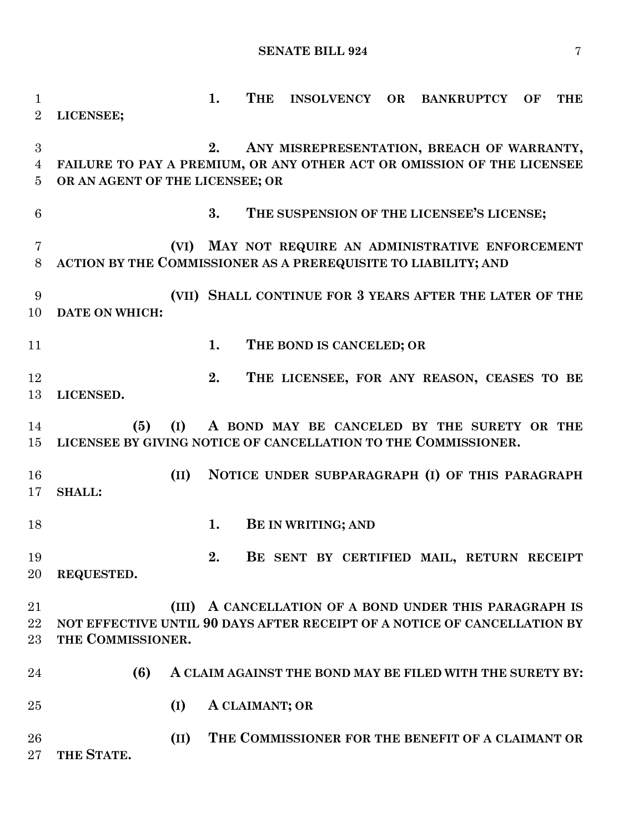**1. THE INSOLVENCY OR BANKRUPTCY OF THE LICENSEE; 2. ANY MISREPRESENTATION, BREACH OF WARRANTY, FAILURE TO PAY A PREMIUM, OR ANY OTHER ACT OR OMISSION OF THE LICENSEE OR AN AGENT OF THE LICENSEE; OR 3. THE SUSPENSION OF THE LICENSEE'S LICENSE; (VI) MAY NOT REQUIRE AN ADMINISTRATIVE ENFORCEMENT ACTION BY THE COMMISSIONER AS A PREREQUISITE TO LIABILITY; AND (VII) SHALL CONTINUE FOR 3 YEARS AFTER THE LATER OF THE DATE ON WHICH: 1. THE BOND IS CANCELED; OR 2. THE LICENSEE, FOR ANY REASON, CEASES TO BE LICENSED. (5) (I) A BOND MAY BE CANCELED BY THE SURETY OR THE LICENSEE BY GIVING NOTICE OF CANCELLATION TO THE COMMISSIONER. (II) NOTICE UNDER SUBPARAGRAPH (I) OF THIS PARAGRAPH SHALL: 1. BE IN WRITING; AND 2. BE SENT BY CERTIFIED MAIL, RETURN RECEIPT REQUESTED. (III) A CANCELLATION OF A BOND UNDER THIS PARAGRAPH IS NOT EFFECTIVE UNTIL 90 DAYS AFTER RECEIPT OF A NOTICE OF CANCELLATION BY THE COMMISSIONER. (6) A CLAIM AGAINST THE BOND MAY BE FILED WITH THE SURETY BY: (I) A CLAIMANT; OR (II) THE COMMISSIONER FOR THE BENEFIT OF A CLAIMANT OR THE STATE.**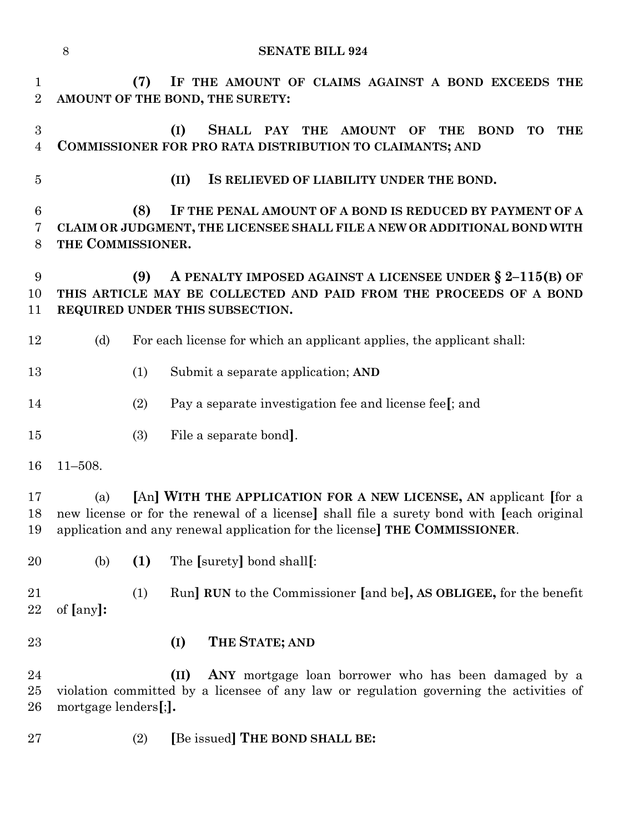|                                    | 8                    |     | <b>SENATE BILL 924</b>                                                                                                                                                                                                                          |
|------------------------------------|----------------------|-----|-------------------------------------------------------------------------------------------------------------------------------------------------------------------------------------------------------------------------------------------------|
| $\mathbf{1}$<br>$\overline{2}$     |                      | (7) | IF THE AMOUNT OF CLAIMS AGAINST A BOND EXCEEDS THE<br>AMOUNT OF THE BOND, THE SURETY:                                                                                                                                                           |
| $\boldsymbol{3}$<br>$\overline{4}$ |                      |     | SHALL PAY THE AMOUNT OF THE<br>(I)<br><b>BOND</b><br><b>THE</b><br><b>TO</b><br>COMMISSIONER FOR PRO RATA DISTRIBUTION TO CLAIMANTS; AND                                                                                                        |
| $\bf 5$                            |                      |     | IS RELIEVED OF LIABILITY UNDER THE BOND.<br>(II)                                                                                                                                                                                                |
| $6\phantom{.}6$<br>7<br>8          | THE COMMISSIONER.    | (8) | IF THE PENAL AMOUNT OF A BOND IS REDUCED BY PAYMENT OF A<br>CLAIM OR JUDGMENT, THE LICENSEE SHALL FILE A NEW OR ADDITIONAL BOND WITH                                                                                                            |
| 9<br>10<br>11                      |                      | (9) | A PENALTY IMPOSED AGAINST A LICENSEE UNDER § 2-115(B) OF<br>THIS ARTICLE MAY BE COLLECTED AND PAID FROM THE PROCEEDS OF A BOND<br>REQUIRED UNDER THIS SUBSECTION.                                                                               |
| 12                                 | (d)                  |     | For each license for which an applicant applies, the applicant shall:                                                                                                                                                                           |
| 13                                 |                      | (1) | Submit a separate application; AND                                                                                                                                                                                                              |
| 14                                 |                      | (2) | Pay a separate investigation fee and license fee.; and                                                                                                                                                                                          |
| 15                                 |                      | (3) | File a separate bond.                                                                                                                                                                                                                           |
| 16                                 | $11 - 508.$          |     |                                                                                                                                                                                                                                                 |
| 17<br>19                           | (a)                  |     | [An] WITH THE APPLICATION FOR A NEW LICENSE, AN applicant [for a<br>18 new license or for the renewal of a license] shall file a surety bond with [each original]<br>application and any renewal application for the license] THE COMMISSIONER. |
| 20                                 | (b)                  | (1) | The [surety] bond shall[:                                                                                                                                                                                                                       |
| 21<br>22                           | of $[any]$ :         | (1) | Run] RUN to the Commissioner [and be], AS OBLIGEE, for the benefit                                                                                                                                                                              |
| 23                                 |                      |     | (I)<br>THE STATE; AND                                                                                                                                                                                                                           |
| 24<br>$25\,$<br>26                 | mortgage lenders[;]. |     | ANY mortgage loan borrower who has been damaged by a<br>(II)<br>violation committed by a licensee of any law or regulation governing the activities of                                                                                          |

(2) **[**Be issued**] THE BOND SHALL BE:**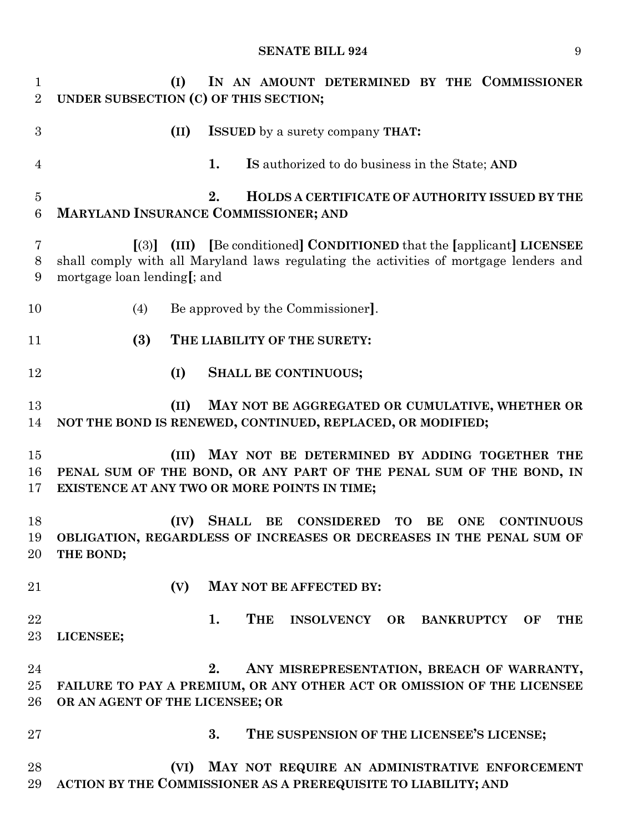| $\mathbf{1}$<br>$\overline{2}$ | IN AN AMOUNT DETERMINED BY THE COMMISSIONER<br>(I)<br>UNDER SUBSECTION (C) OF THIS SECTION;                                                                                                                     |
|--------------------------------|-----------------------------------------------------------------------------------------------------------------------------------------------------------------------------------------------------------------|
| 3                              | <b>ISSUED</b> by a surety company THAT:<br>(II)                                                                                                                                                                 |
| $\overline{4}$                 | 1.<br>Is authorized to do business in the State; AND                                                                                                                                                            |
| $\overline{5}$<br>6            | 2.<br>HOLDS A CERTIFICATE OF AUTHORITY ISSUED BY THE<br><b>MARYLAND INSURANCE COMMISSIONER; AND</b>                                                                                                             |
| $\overline{7}$<br>8<br>9       | (III) [Be conditioned] CONDITIONED that the [applicant] LICENSEE<br>$\lceil (3) \rceil$<br>shall comply with all Maryland laws regulating the activities of mortgage lenders and<br>mortgage loan lending[; and |
| 10                             | (4)<br>Be approved by the Commissioner.                                                                                                                                                                         |
| 11                             | (3)<br>THE LIABILITY OF THE SURETY:                                                                                                                                                                             |
| 12                             | (I)<br><b>SHALL BE CONTINUOUS;</b>                                                                                                                                                                              |
| 13<br>14                       | (II)<br>MAY NOT BE AGGREGATED OR CUMULATIVE, WHETHER OR<br>NOT THE BOND IS RENEWED, CONTINUED, REPLACED, OR MODIFIED;                                                                                           |
| 15<br>16<br>17                 | (III)<br>MAY NOT BE DETERMINED BY ADDING TOGETHER THE<br>PENAL SUM OF THE BOND, OR ANY PART OF THE PENAL SUM OF THE BOND, IN<br>EXISTENCE AT ANY TWO OR MORE POINTS IN TIME;                                    |
| 18<br>19<br>20                 | (IV) SHALL<br><b>CONSIDERED</b><br>BE<br><b>TO</b><br>BE<br><b>ONE</b><br><b>CONTINUOUS</b><br>OBLIGATION, REGARDLESS OF INCREASES OR DECREASES IN THE PENAL SUM OF<br>THE BOND;                                |
| 21                             | (V)<br>MAY NOT BE AFFECTED BY:                                                                                                                                                                                  |
| 22<br>23                       | 1.<br><b>THE</b><br>INSOLVENCY OR BANKRUPTCY OF<br><b>THE</b><br>LICENSEE;                                                                                                                                      |
| 24<br>25<br>26                 | 2.<br>ANY MISREPRESENTATION, BREACH OF WARRANTY,<br>FAILURE TO PAY A PREMIUM, OR ANY OTHER ACT OR OMISSION OF THE LICENSEE<br>OR AN AGENT OF THE LICENSEE; OR                                                   |
| 27                             | THE SUSPENSION OF THE LICENSEE'S LICENSE;<br>3.                                                                                                                                                                 |
| 28<br>29                       | MAY NOT REQUIRE AN ADMINISTRATIVE ENFORCEMENT<br>(VI)<br>ACTION BY THE COMMISSIONER AS A PREREQUISITE TO LIABILITY; AND                                                                                         |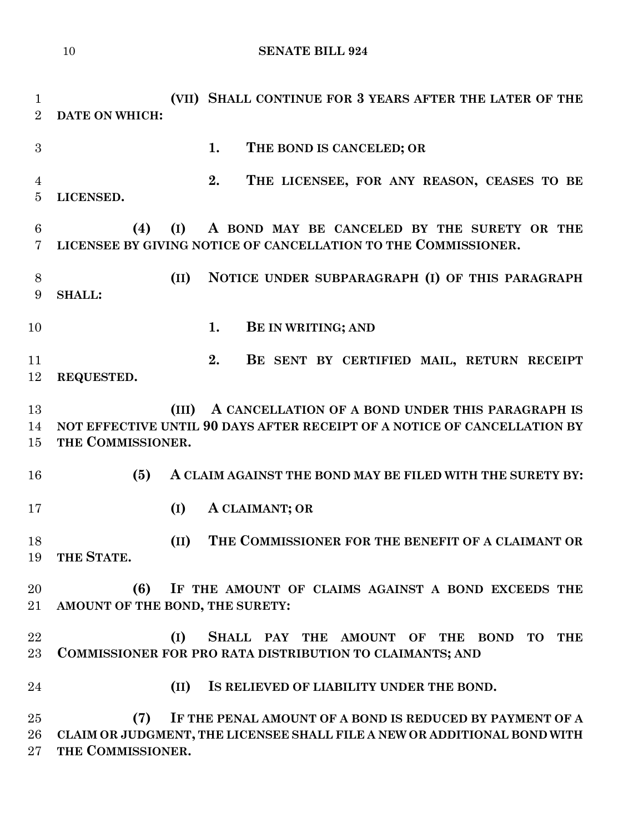```
10 SENATE BILL 924
```
 **(VII) SHALL CONTINUE FOR 3 YEARS AFTER THE LATER OF THE DATE ON WHICH: 1. THE BOND IS CANCELED; OR 2. THE LICENSEE, FOR ANY REASON, CEASES TO BE LICENSED. (4) (I) A BOND MAY BE CANCELED BY THE SURETY OR THE LICENSEE BY GIVING NOTICE OF CANCELLATION TO THE COMMISSIONER. (II) NOTICE UNDER SUBPARAGRAPH (I) OF THIS PARAGRAPH SHALL: 1. BE IN WRITING; AND 2. BE SENT BY CERTIFIED MAIL, RETURN RECEIPT REQUESTED. (III) A CANCELLATION OF A BOND UNDER THIS PARAGRAPH IS NOT EFFECTIVE UNTIL 90 DAYS AFTER RECEIPT OF A NOTICE OF CANCELLATION BY THE COMMISSIONER. (5) A CLAIM AGAINST THE BOND MAY BE FILED WITH THE SURETY BY: (I) A CLAIMANT; OR (II) THE COMMISSIONER FOR THE BENEFIT OF A CLAIMANT OR THE STATE. (6) IF THE AMOUNT OF CLAIMS AGAINST A BOND EXCEEDS THE AMOUNT OF THE BOND, THE SURETY: (I) SHALL PAY THE AMOUNT OF THE BOND TO THE COMMISSIONER FOR PRO RATA DISTRIBUTION TO CLAIMANTS; AND (II) IS RELIEVED OF LIABILITY UNDER THE BOND. (7) IF THE PENAL AMOUNT OF A BOND IS REDUCED BY PAYMENT OF A CLAIM OR JUDGMENT, THE LICENSEE SHALL FILE A NEW OR ADDITIONAL BOND WITH THE COMMISSIONER.**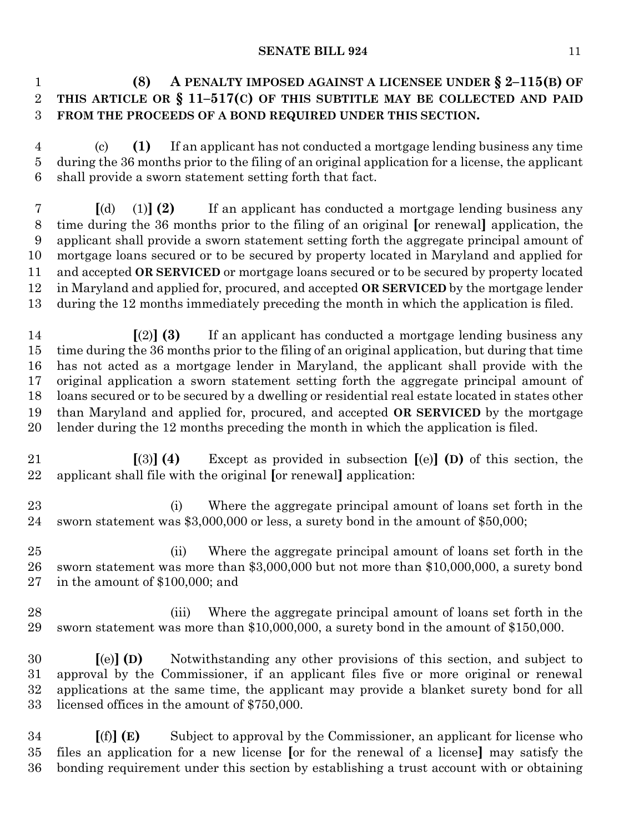**(8) A PENALTY IMPOSED AGAINST A LICENSEE UNDER § 2–115(B) OF THIS ARTICLE OR § 11–517(C) OF THIS SUBTITLE MAY BE COLLECTED AND PAID FROM THE PROCEEDS OF A BOND REQUIRED UNDER THIS SECTION.**

 (c) **(1)** If an applicant has not conducted a mortgage lending business any time during the 36 months prior to the filing of an original application for a license, the applicant shall provide a sworn statement setting forth that fact.

 **[**(d) (1)**] (2)** If an applicant has conducted a mortgage lending business any time during the 36 months prior to the filing of an original **[**or renewal**]** application, the applicant shall provide a sworn statement setting forth the aggregate principal amount of mortgage loans secured or to be secured by property located in Maryland and applied for and accepted **OR SERVICED** or mortgage loans secured or to be secured by property located in Maryland and applied for, procured, and accepted **OR SERVICED** by the mortgage lender during the 12 months immediately preceding the month in which the application is filed.

 **[**(2)**] (3)** If an applicant has conducted a mortgage lending business any time during the 36 months prior to the filing of an original application, but during that time has not acted as a mortgage lender in Maryland, the applicant shall provide with the original application a sworn statement setting forth the aggregate principal amount of loans secured or to be secured by a dwelling or residential real estate located in states other than Maryland and applied for, procured, and accepted **OR SERVICED** by the mortgage lender during the 12 months preceding the month in which the application is filed.

 **[**(3)**] (4)** Except as provided in subsection **[**(e)**] (D)** of this section, the applicant shall file with the original **[**or renewal**]** application:

 (i) Where the aggregate principal amount of loans set forth in the sworn statement was \$3,000,000 or less, a surety bond in the amount of \$50,000;

 (ii) Where the aggregate principal amount of loans set forth in the sworn statement was more than \$3,000,000 but not more than \$10,000,000, a surety bond in the amount of \$100,000; and

 (iii) Where the aggregate principal amount of loans set forth in the sworn statement was more than \$10,000,000, a surety bond in the amount of \$150,000.

 **[**(e)**] (D)** Notwithstanding any other provisions of this section, and subject to approval by the Commissioner, if an applicant files five or more original or renewal applications at the same time, the applicant may provide a blanket surety bond for all licensed offices in the amount of \$750,000.

 **[**(f)**] (E)** Subject to approval by the Commissioner, an applicant for license who files an application for a new license **[**or for the renewal of a license**]** may satisfy the bonding requirement under this section by establishing a trust account with or obtaining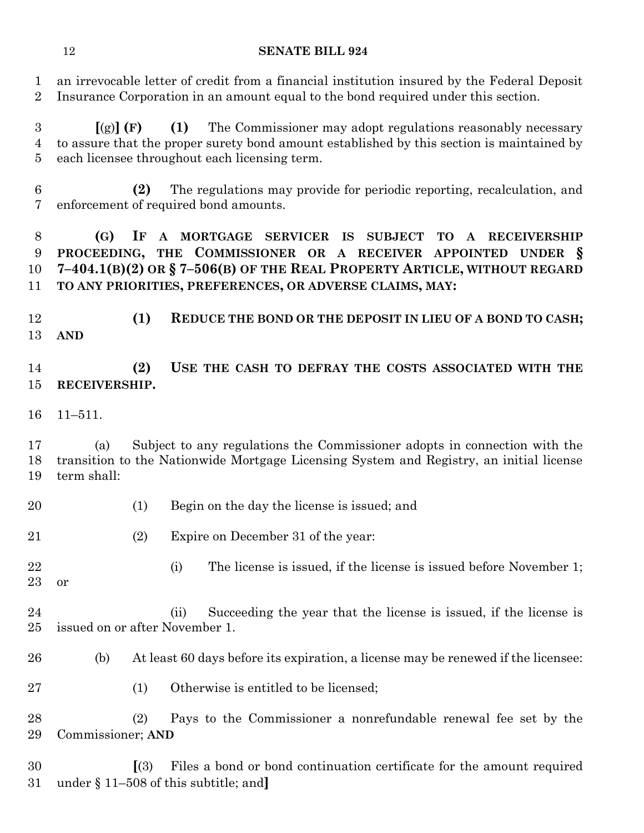an irrevocable letter of credit from a financial institution insured by the Federal Deposit Insurance Corporation in an amount equal to the bond required under this section.

 **[**(g)**] (F) (1)** The Commissioner may adopt regulations reasonably necessary to assure that the proper surety bond amount established by this section is maintained by each licensee throughout each licensing term.

 **(2)** The regulations may provide for periodic reporting, recalculation, and enforcement of required bond amounts.

 **(G) IF A MORTGAGE SERVICER IS SUBJECT TO A RECEIVERSHIP PROCEEDING, THE COMMISSIONER OR A RECEIVER APPOINTED UNDER § 7–404.1(B)(2) OR § 7–506(B) OF THE REAL PROPERTY ARTICLE, WITHOUT REGARD TO ANY PRIORITIES, PREFERENCES, OR ADVERSE CLAIMS, MAY:**

 **(1) REDUCE THE BOND OR THE DEPOSIT IN LIEU OF A BOND TO CASH; AND**

 **(2) USE THE CASH TO DEFRAY THE COSTS ASSOCIATED WITH THE RECEIVERSHIP.**

11–511.

 (a) Subject to any regulations the Commissioner adopts in connection with the transition to the Nationwide Mortgage Licensing System and Registry, an initial license term shall:

- (1) Begin on the day the license is issued; and
- (2) Expire on December 31 of the year:
- 22 (i) The license is issued, if the license is issued before November 1; or
- (ii) Succeeding the year that the license is issued, if the license is issued on or after November 1.
- (b) At least 60 days before its expiration, a license may be renewed if the licensee:
- 27 (1) Otherwise is entitled to be licensed;

 (2) Pays to the Commissioner a nonrefundable renewal fee set by the Commissioner; **AND**

 **[**(3) Files a bond or bond continuation certificate for the amount required under § 11–508 of this subtitle; and**]**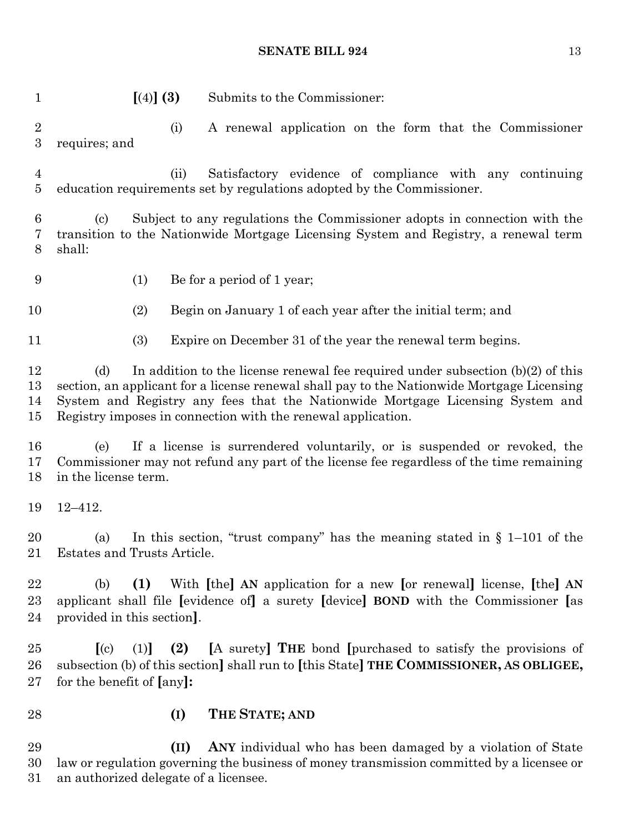**[**(4)**] (3)** Submits to the Commissioner: (i) A renewal application on the form that the Commissioner requires; and (ii) Satisfactory evidence of compliance with any continuing education requirements set by regulations adopted by the Commissioner. (c) Subject to any regulations the Commissioner adopts in connection with the transition to the Nationwide Mortgage Licensing System and Registry, a renewal term shall: (1) Be for a period of 1 year; (2) Begin on January 1 of each year after the initial term; and (3) Expire on December 31 of the year the renewal term begins. (d) In addition to the license renewal fee required under subsection (b)(2) of this section, an applicant for a license renewal shall pay to the Nationwide Mortgage Licensing System and Registry any fees that the Nationwide Mortgage Licensing System and Registry imposes in connection with the renewal application. (e) If a license is surrendered voluntarily, or is suspended or revoked, the Commissioner may not refund any part of the license fee regardless of the time remaining in the license term. 12–412. (a) In this section, "trust company" has the meaning stated in § 1–101 of the Estates and Trusts Article. (b) **(1)** With **[**the**] AN** application for a new **[**or renewal**]** license, **[**the**] AN** applicant shall file **[**evidence of**]** a surety **[**device**] BOND** with the Commissioner **[**as provided in this section**]**. **[**(c) (1)**] (2) [**A surety**] THE** bond **[**purchased to satisfy the provisions of subsection (b) of this section**]** shall run to **[**this State**] THE COMMISSIONER, AS OBLIGEE,** for the benefit of **[**any**]: (I) THE STATE; AND (II) ANY** individual who has been damaged by a violation of State law or regulation governing the business of money transmission committed by a licensee or an authorized delegate of a licensee.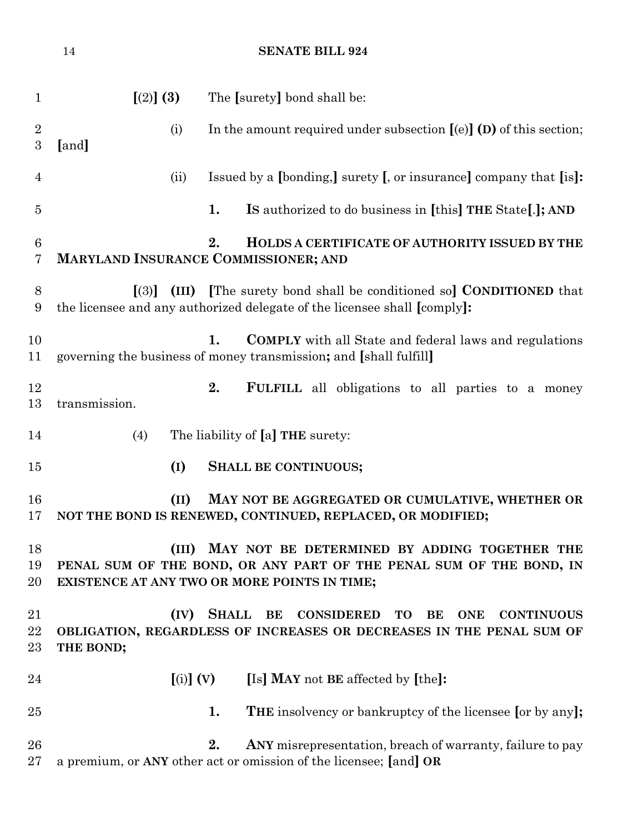$\left[\frac{2}{3}\right]$  **(3)** The  $\left[\text{surety}\right]$  bond shall be: (i) In the amount required under subsection **[**(e)**] (D)** of this section; **[**and**]** (ii) Issued by a **[**bonding,**]** surety **[**, or insurance**]** company that **[**is**]: 1. IS** authorized to do business in **[**this**] THE** State**[**.**]; AND 2. HOLDS A CERTIFICATE OF AUTHORITY ISSUED BY THE MARYLAND INSURANCE COMMISSIONER; AND [**(3)**] (III) [**The surety bond shall be conditioned so**] CONDITIONED** that the licensee and any authorized delegate of the licensee shall **[**comply**]: 1. COMPLY** with all State and federal laws and regulations governing the business of money transmission**;** and **[**shall fulfill**] 2. FULFILL** all obligations to all parties to a money transmission. (4) The liability of **[**a**] THE** surety: **(I) SHALL BE CONTINUOUS; (II) MAY NOT BE AGGREGATED OR CUMULATIVE, WHETHER OR NOT THE BOND IS RENEWED, CONTINUED, REPLACED, OR MODIFIED; (III) MAY NOT BE DETERMINED BY ADDING TOGETHER THE PENAL SUM OF THE BOND, OR ANY PART OF THE PENAL SUM OF THE BOND, IN EXISTENCE AT ANY TWO OR MORE POINTS IN TIME; (IV) SHALL BE CONSIDERED TO BE ONE CONTINUOUS OBLIGATION, REGARDLESS OF INCREASES OR DECREASES IN THE PENAL SUM OF THE BOND; [**(i)**] (V) [**Is**] MAY** not **BE** affected by **[**the**]: 1. THE** insolvency or bankruptcy of the licensee **[**or by any**]; 2. ANY** misrepresentation, breach of warranty, failure to pay a premium, or **ANY** other act or omission of the licensee; **[**and**] OR**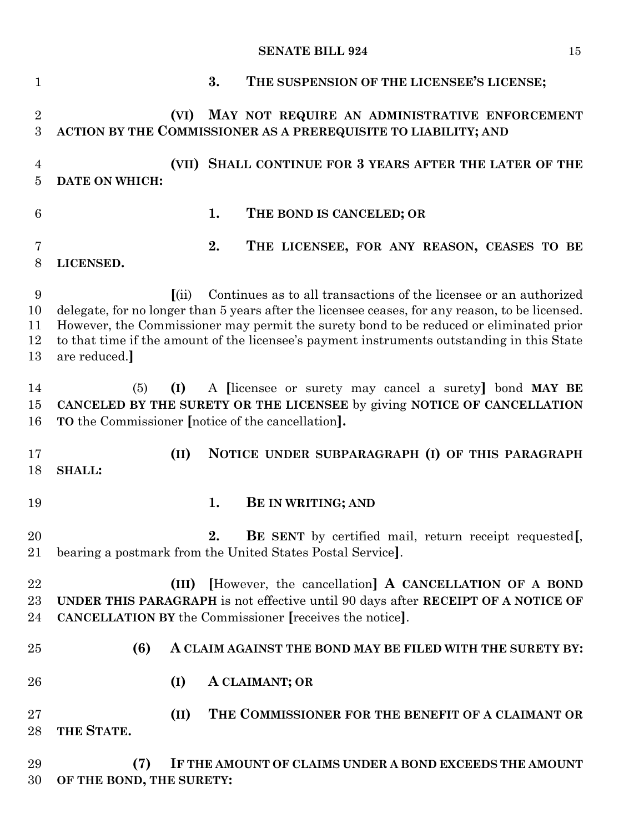**3. THE SUSPENSION OF THE LICENSEE'S LICENSE; (VI) MAY NOT REQUIRE AN ADMINISTRATIVE ENFORCEMENT ACTION BY THE COMMISSIONER AS A PREREQUISITE TO LIABILITY; AND (VII) SHALL CONTINUE FOR 3 YEARS AFTER THE LATER OF THE DATE ON WHICH: 1. THE BOND IS CANCELED; OR 2. THE LICENSEE, FOR ANY REASON, CEASES TO BE LICENSED. [**(ii) Continues as to all transactions of the licensee or an authorized delegate, for no longer than 5 years after the licensee ceases, for any reason, to be licensed. However, the Commissioner may permit the surety bond to be reduced or eliminated prior to that time if the amount of the licensee's payment instruments outstanding in this State are reduced.**]** (5) **(I)** A **[**licensee or surety may cancel a surety**]** bond **MAY BE CANCELED BY THE SURETY OR THE LICENSEE** by giving **NOTICE OF CANCELLATION TO** the Commissioner **[**notice of the cancellation**]. (II) NOTICE UNDER SUBPARAGRAPH (I) OF THIS PARAGRAPH SHALL: 1. BE IN WRITING; AND 2. BE SENT** by certified mail, return receipt requested**[**, bearing a postmark from the United States Postal Service**]**. **(III) [**However, the cancellation**] A CANCELLATION OF A BOND UNDER THIS PARAGRAPH** is not effective until 90 days after **RECEIPT OF A NOTICE OF CANCELLATION BY** the Commissioner **[**receives the notice**]**. **(6) A CLAIM AGAINST THE BOND MAY BE FILED WITH THE SURETY BY: (I) A CLAIMANT; OR (II) THE COMMISSIONER FOR THE BENEFIT OF A CLAIMANT OR THE STATE. (7) IF THE AMOUNT OF CLAIMS UNDER A BOND EXCEEDS THE AMOUNT** 

**OF THE BOND, THE SURETY:**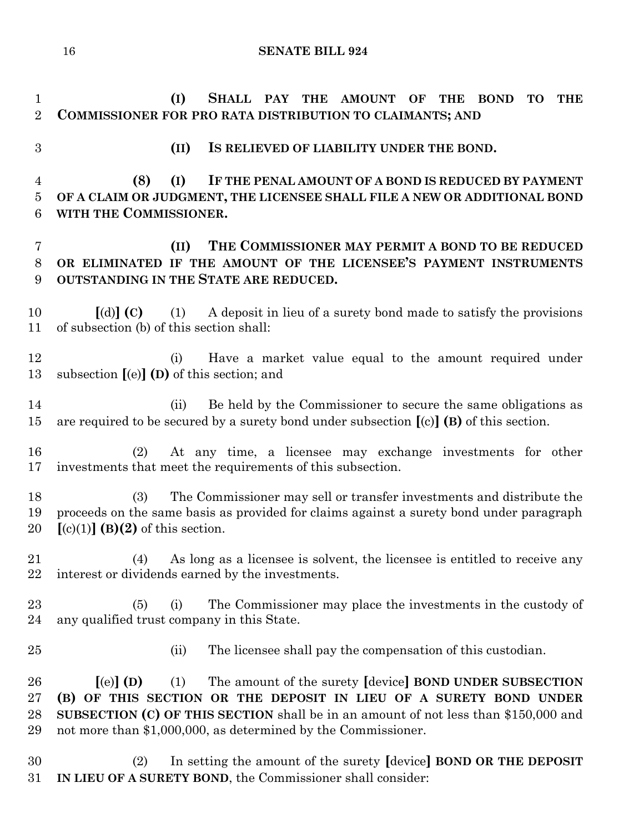**(I) SHALL PAY THE AMOUNT OF THE BOND TO THE COMMISSIONER FOR PRO RATA DISTRIBUTION TO CLAIMANTS; AND (II) IS RELIEVED OF LIABILITY UNDER THE BOND. (8) (I) IF THE PENAL AMOUNT OF A BOND IS REDUCED BY PAYMENT OF A CLAIM OR JUDGMENT, THE LICENSEE SHALL FILE A NEW OR ADDITIONAL BOND WITH THE COMMISSIONER. (II) THE COMMISSIONER MAY PERMIT A BOND TO BE REDUCED OR ELIMINATED IF THE AMOUNT OF THE LICENSEE'S PAYMENT INSTRUMENTS OUTSTANDING IN THE STATE ARE REDUCED. [**(d)**] (C)** (1) A deposit in lieu of a surety bond made to satisfy the provisions of subsection (b) of this section shall: 12 (i) Have a market value equal to the amount required under subsection **[**(e)**] (D)** of this section; and (ii) Be held by the Commissioner to secure the same obligations as are required to be secured by a surety bond under subsection **[**(c)**] (B)** of this section. (2) At any time, a licensee may exchange investments for other investments that meet the requirements of this subsection. (3) The Commissioner may sell or transfer investments and distribute the proceeds on the same basis as provided for claims against a surety bond under paragraph  $[(c)(1)]$  **(B)(2)** of this section. (4) As long as a licensee is solvent, the licensee is entitled to receive any interest or dividends earned by the investments. (5) (i) The Commissioner may place the investments in the custody of any qualified trust company in this State. (ii) The licensee shall pay the compensation of this custodian. **[**(e)**] (D)** (1) The amount of the surety **[**device**] BOND UNDER SUBSECTION (B) OF THIS SECTION OR THE DEPOSIT IN LIEU OF A SURETY BOND UNDER SUBSECTION (C) OF THIS SECTION** shall be in an amount of not less than \$150,000 and not more than \$1,000,000, as determined by the Commissioner. (2) In setting the amount of the surety **[**device**] BOND OR THE DEPOSIT IN LIEU OF A SURETY BOND**, the Commissioner shall consider: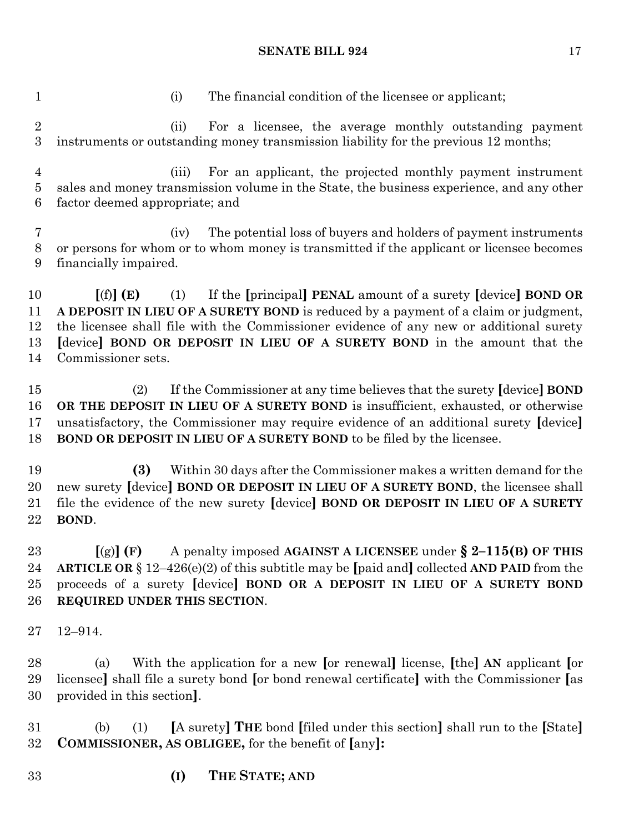1 (i) The financial condition of the licensee or applicant; (ii) For a licensee, the average monthly outstanding payment instruments or outstanding money transmission liability for the previous 12 months; (iii) For an applicant, the projected monthly payment instrument sales and money transmission volume in the State, the business experience, and any other factor deemed appropriate; and (iv) The potential loss of buyers and holders of payment instruments or persons for whom or to whom money is transmitted if the applicant or licensee becomes financially impaired. **[**(f)**] (E)** (1) If the **[**principal**] PENAL** amount of a surety **[**device**] BOND OR A DEPOSIT IN LIEU OF A SURETY BOND** is reduced by a payment of a claim or judgment, the licensee shall file with the Commissioner evidence of any new or additional surety **[**device**] BOND OR DEPOSIT IN LIEU OF A SURETY BOND** in the amount that the Commissioner sets. (2) If the Commissioner at any time believes that the surety **[**device**] BOND OR THE DEPOSIT IN LIEU OF A SURETY BOND** is insufficient, exhausted, or otherwise unsatisfactory, the Commissioner may require evidence of an additional surety **[**device**] BOND OR DEPOSIT IN LIEU OF A SURETY BOND** to be filed by the licensee. **(3)** Within 30 days after the Commissioner makes a written demand for the new surety **[**device**] BOND OR DEPOSIT IN LIEU OF A SURETY BOND**, the licensee shall file the evidence of the new surety **[**device**] BOND OR DEPOSIT IN LIEU OF A SURETY BOND**. **[**(g)**] (F)** A penalty imposed **AGAINST A LICENSEE** under **§ 2–115(B) OF THIS ARTICLE OR** § 12–426(e)(2) of this subtitle may be **[**paid and**]** collected **AND PAID** from the proceeds of a surety **[**device**] BOND OR A DEPOSIT IN LIEU OF A SURETY BOND REQUIRED UNDER THIS SECTION**. 12–914. (a) With the application for a new **[**or renewal**]** license, **[**the**] AN** applicant **[**or licensee**]** shall file a surety bond **[**or bond renewal certificate**]** with the Commissioner **[**as

 (b) (1) **[**A surety**] THE** bond **[**filed under this section**]** shall run to the **[**State**] COMMISSIONER, AS OBLIGEE,** for the benefit of **[**any**]:**

**(I) THE STATE; AND**

provided in this section**]**.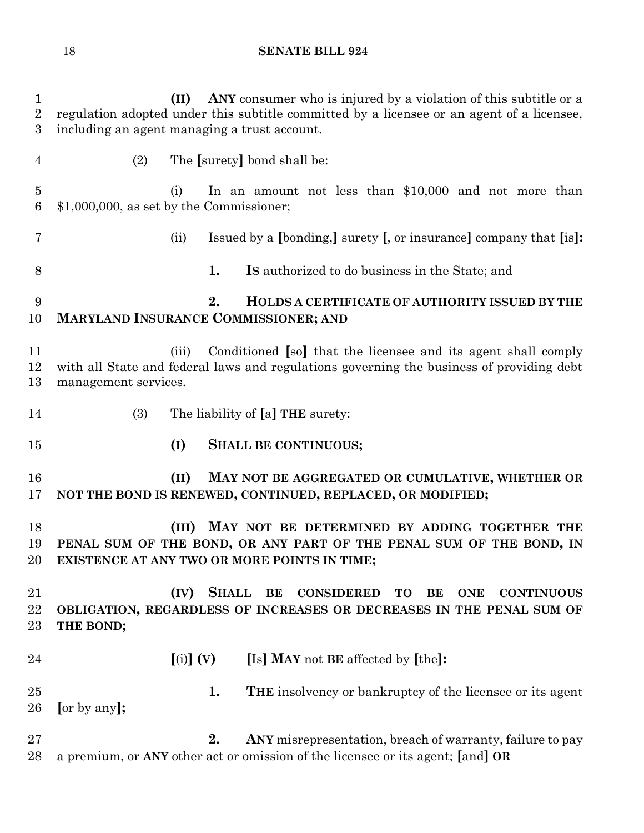| $\mathbf{1}$<br>$\overline{2}$<br>3 | ANY consumer who is injured by a violation of this subtitle or a<br>(II)<br>regulation adopted under this subtitle committed by a licensee or an agent of a licensee,<br>including an agent managing a trust account. |                               |                                                                                                                                                                       |  |  |  |  |  |
|-------------------------------------|-----------------------------------------------------------------------------------------------------------------------------------------------------------------------------------------------------------------------|-------------------------------|-----------------------------------------------------------------------------------------------------------------------------------------------------------------------|--|--|--|--|--|
| $\overline{4}$                      | (2)                                                                                                                                                                                                                   |                               | The [surety] bond shall be:                                                                                                                                           |  |  |  |  |  |
| $\overline{5}$<br>$6\phantom{.}6$   | \$1,000,000, as set by the Commissioner;                                                                                                                                                                              | (i)                           | In an amount not less than \$10,000 and not more than                                                                                                                 |  |  |  |  |  |
| 7                                   |                                                                                                                                                                                                                       | (ii)                          | Issued by a [bonding,] surety [, or insurance] company that [is]:                                                                                                     |  |  |  |  |  |
| 8                                   |                                                                                                                                                                                                                       |                               | 1.<br>Is authorized to do business in the State; and                                                                                                                  |  |  |  |  |  |
| 9<br>10                             |                                                                                                                                                                                                                       |                               | 2.<br>HOLDS A CERTIFICATE OF AUTHORITY ISSUED BY THE<br>MARYLAND INSURANCE COMMISSIONER; AND                                                                          |  |  |  |  |  |
| 11<br>12<br>13                      | management services.                                                                                                                                                                                                  | (iii)                         | Conditioned [so] that the licensee and its agent shall comply<br>with all State and federal laws and regulations governing the business of providing debt             |  |  |  |  |  |
| 14                                  | (3)                                                                                                                                                                                                                   |                               | The liability of [a] THE surety:                                                                                                                                      |  |  |  |  |  |
| 15                                  |                                                                                                                                                                                                                       | (I)                           | <b>SHALL BE CONTINUOUS;</b>                                                                                                                                           |  |  |  |  |  |
| 16<br>17                            |                                                                                                                                                                                                                       | (II)                          | MAY NOT BE AGGREGATED OR CUMULATIVE, WHETHER OR<br>NOT THE BOND IS RENEWED, CONTINUED, REPLACED, OR MODIFIED;                                                         |  |  |  |  |  |
| 18<br>19<br>20                      |                                                                                                                                                                                                                       | (III)                         | MAY NOT BE DETERMINED BY ADDING TOGETHER THE<br>PENAL SUM OF THE BOND, OR ANY PART OF THE PENAL SUM OF THE BOND, IN<br>EXISTENCE AT ANY TWO OR MORE POINTS IN TIME;   |  |  |  |  |  |
| 21<br>22<br>$23\,$                  | THE BOND;                                                                                                                                                                                                             | (IV)                          | <b>SHALL</b><br>BE<br><b>CONSIDERED</b><br><b>ONE</b><br><b>TO</b><br>BE<br><b>CONTINUOUS</b><br>OBLIGATION, REGARDLESS OF INCREASES OR DECREASES IN THE PENAL SUM OF |  |  |  |  |  |
| 24                                  |                                                                                                                                                                                                                       | $\left[\text{(i)}\right]$ (V) | [Is] MAY not BE affected by [the]:                                                                                                                                    |  |  |  |  |  |
| 25                                  |                                                                                                                                                                                                                       |                               | 1.<br><b>THE</b> insolvency or bankruptcy of the licensee or its agent                                                                                                |  |  |  |  |  |
| 26                                  | [or by any];                                                                                                                                                                                                          |                               |                                                                                                                                                                       |  |  |  |  |  |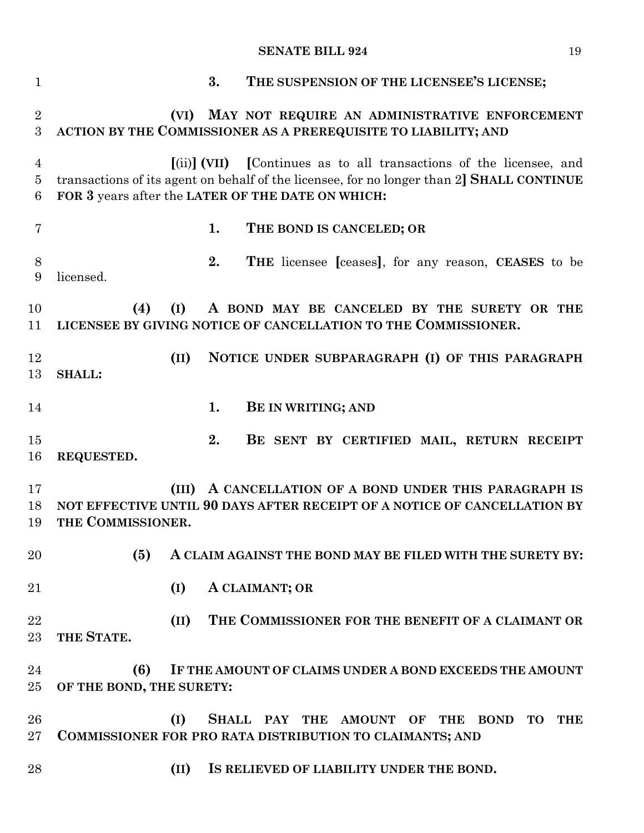| $\mathbf{1}$    | THE SUSPENSION OF THE LICENSEE'S LICENSE;<br>3.                                                                             |
|-----------------|-----------------------------------------------------------------------------------------------------------------------------|
| $\sqrt{2}$<br>3 | (VI) MAY NOT REQUIRE AN ADMINISTRATIVE ENFORCEMENT<br>ACTION BY THE COMMISSIONER AS A PREREQUISITE TO LIABILITY; AND        |
| $\overline{4}$  | [(ii)] (VII) [Continues as to all transactions of the licensee, and                                                         |
| $\overline{5}$  | transactions of its agent on behalf of the licensee, for no longer than 2] SHALL CONTINUE                                   |
| 6               | FOR 3 years after the LATER OF THE DATE ON WHICH:                                                                           |
| 7               | 1.<br>THE BOND IS CANCELED; OR                                                                                              |
| 8<br>9          | 2.<br><b>THE</b> licensee [ceases], for any reason, <b>CEASES</b> to be<br>licensed.                                        |
| 10<br>11        | (I)<br>A BOND MAY BE CANCELED BY THE SURETY OR THE<br>(4)<br>LICENSEE BY GIVING NOTICE OF CANCELLATION TO THE COMMISSIONER. |
| 12              | NOTICE UNDER SUBPARAGRAPH (I) OF THIS PARAGRAPH<br>(II)                                                                     |
| 13              | <b>SHALL:</b>                                                                                                               |
| 14              | 1.<br><b>BE IN WRITING; AND</b>                                                                                             |
| 15              | 2.<br>BE SENT BY CERTIFIED MAIL, RETURN RECEIPT                                                                             |
| 16              | REQUESTED.                                                                                                                  |
| 17              | A CANCELLATION OF A BOND UNDER THIS PARAGRAPH IS<br>(III)                                                                   |
| 18              | NOT EFFECTIVE UNTIL 90 DAYS AFTER RECEIPT OF A NOTICE OF CANCELLATION BY                                                    |
| 19              | THE COMMISSIONER.                                                                                                           |
| 20              | (5)<br>A CLAIM AGAINST THE BOND MAY BE FILED WITH THE SURETY BY:                                                            |
| 21              | (I)<br>A CLAIMANT; OR                                                                                                       |
| 22              | THE COMMISSIONER FOR THE BENEFIT OF A CLAIMANT OR<br>(II)                                                                   |
| 23              | THE STATE.                                                                                                                  |
|                 |                                                                                                                             |
| 24<br>25        | (6)<br>IF THE AMOUNT OF CLAIMS UNDER A BOND EXCEEDS THE AMOUNT<br>OF THE BOND, THE SURETY:                                  |
| 26              | SHALL PAY THE AMOUNT OF THE BOND<br>(I)<br><b>THE</b><br>TO                                                                 |
| $27\,$          | COMMISSIONER FOR PRO RATA DISTRIBUTION TO CLAIMANTS; AND                                                                    |
| 28              | IS RELIEVED OF LIABILITY UNDER THE BOND.<br>(II)                                                                            |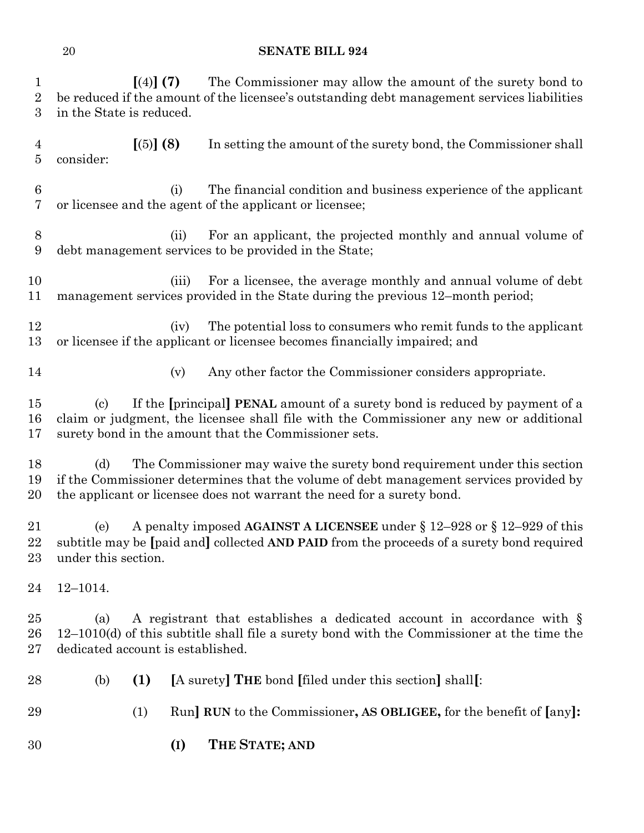| 1<br>$\overline{2}$<br>3 | $(4)$ (7)<br>in the State is reduced.    | The Commissioner may allow the amount of the surety bond to<br>be reduced if the amount of the licensee's outstanding debt management services liabilities                                                                                    |
|--------------------------|------------------------------------------|-----------------------------------------------------------------------------------------------------------------------------------------------------------------------------------------------------------------------------------------------|
| $\overline{4}$<br>5      | [(5)] (8)<br>consider:                   | In setting the amount of the surety bond, the Commissioner shall                                                                                                                                                                              |
| $6\phantom{.}6$<br>7     | (i)                                      | The financial condition and business experience of the applicant<br>or licensee and the agent of the applicant or licensee;                                                                                                                   |
| 8<br>9                   | (ii)                                     | For an applicant, the projected monthly and annual volume of<br>debt management services to be provided in the State;                                                                                                                         |
| 10<br>11                 | (iii)                                    | For a licensee, the average monthly and annual volume of debt<br>management services provided in the State during the previous 12-month period;                                                                                               |
| 12<br>13                 | (iv)                                     | The potential loss to consumers who remit funds to the applicant<br>or licensee if the applicant or licensee becomes financially impaired; and                                                                                                |
| 14                       | (v)                                      | Any other factor the Commissioner considers appropriate.                                                                                                                                                                                      |
| 15<br>16<br>17           | $\left( \mathrm{c}\right)$               | If the [principal] PENAL amount of a surety bond is reduced by payment of a<br>claim or judgment, the licensee shall file with the Commissioner any new or additional<br>surety bond in the amount that the Commissioner sets.                |
| 18<br>19<br>20           | (d)                                      | The Commissioner may waive the surety bond requirement under this section<br>if the Commissioner determines that the volume of debt management services provided by<br>the applicant or licensee does not warrant the need for a surety bond. |
| 21<br>22<br>23           | (e)<br>under this section.               | A penalty imposed AGAINST A LICENSEE under § 12-928 or § 12-929 of this<br>subtitle may be [paid and] collected AND PAID from the proceeds of a surety bond required                                                                          |
| 24                       | $12 - 1014.$                             |                                                                                                                                                                                                                                               |
| 25<br>26<br>$27\,$       | (a)<br>dedicated account is established. | A registrant that establishes a dedicated account in accordance with §<br>$12-1010(d)$ of this subtitle shall file a surety bond with the Commissioner at the time the                                                                        |
| 28                       | (b)<br>(1)                               | [A surety] THE bond [filed under this section] shall[:                                                                                                                                                                                        |
| 29                       | (1)                                      | Run] RUN to the Commissioner, AS OBLIGEE, for the benefit of [any]:                                                                                                                                                                           |
| 30                       | (I)                                      | THE STATE; AND                                                                                                                                                                                                                                |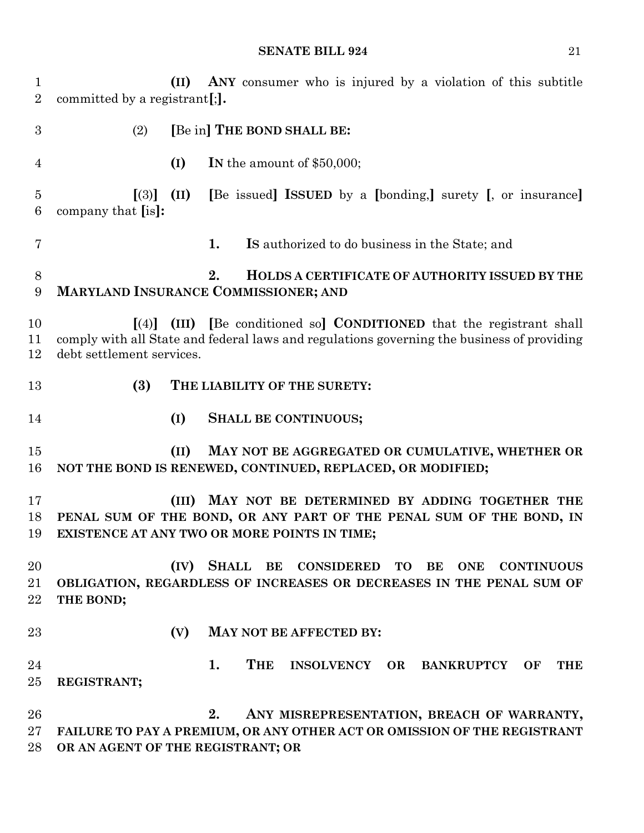**(II) ANY** consumer who is injured by a violation of this subtitle committed by a registrant**[**;**].** (2) **[**Be in**] THE BOND SHALL BE: (I) IN** the amount of \$50,000; **[**(3)**] (II) [**Be issued**] ISSUED** by a **[**bonding,**]** surety **[**, or insurance**]** company that **[**is**]: 1. IS** authorized to do business in the State; and **2. HOLDS A CERTIFICATE OF AUTHORITY ISSUED BY THE MARYLAND INSURANCE COMMISSIONER; AND [**(4)**] (III) [**Be conditioned so**] CONDITIONED** that the registrant shall comply with all State and federal laws and regulations governing the business of providing debt settlement services. **(3) THE LIABILITY OF THE SURETY: (I) SHALL BE CONTINUOUS; (II) MAY NOT BE AGGREGATED OR CUMULATIVE, WHETHER OR NOT THE BOND IS RENEWED, CONTINUED, REPLACED, OR MODIFIED; (III) MAY NOT BE DETERMINED BY ADDING TOGETHER THE PENAL SUM OF THE BOND, OR ANY PART OF THE PENAL SUM OF THE BOND, IN EXISTENCE AT ANY TWO OR MORE POINTS IN TIME; (IV) SHALL BE CONSIDERED TO BE ONE CONTINUOUS OBLIGATION, REGARDLESS OF INCREASES OR DECREASES IN THE PENAL SUM OF THE BOND; (V) MAY NOT BE AFFECTED BY: 1. THE INSOLVENCY OR BANKRUPTCY OF THE REGISTRANT; 2. ANY MISREPRESENTATION, BREACH OF WARRANTY, FAILURE TO PAY A PREMIUM, OR ANY OTHER ACT OR OMISSION OF THE REGISTRANT OR AN AGENT OF THE REGISTRANT; OR**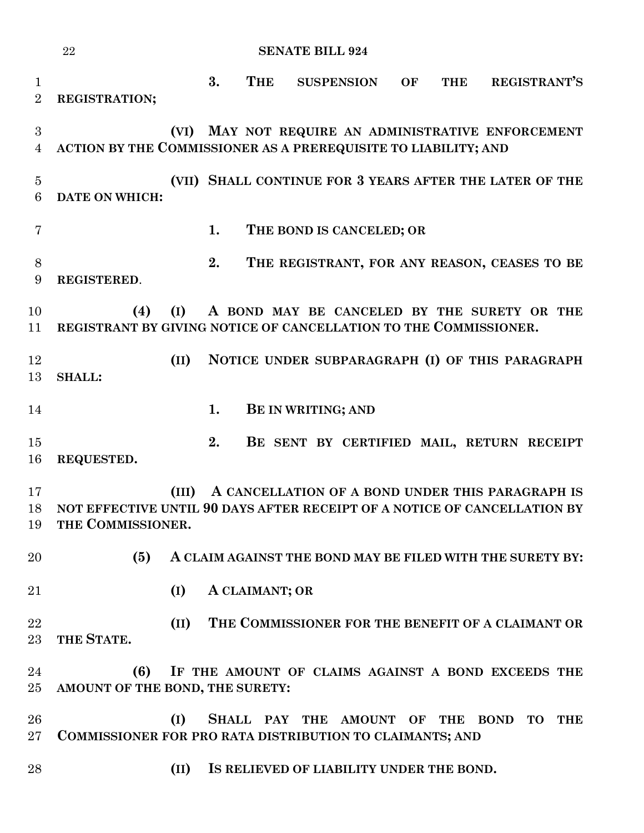|                               | 22                                                                                                     |    |                | <b>SENATE BILL 924</b>                   |    |            |                                                           |            |
|-------------------------------|--------------------------------------------------------------------------------------------------------|----|----------------|------------------------------------------|----|------------|-----------------------------------------------------------|------------|
| $\mathbf 1$<br>$\overline{2}$ | 3.<br>REGISTRATION;                                                                                    |    | <b>THE</b>     | <b>SUSPENSION</b>                        | OF | <b>THE</b> | <b>REGISTRANT'S</b>                                       |            |
| 3<br>$\overline{4}$           | (VI)<br>ACTION BY THE COMMISSIONER AS A PREREQUISITE TO LIABILITY; AND                                 |    |                |                                          |    |            | MAY NOT REQUIRE AN ADMINISTRATIVE ENFORCEMENT             |            |
| $\overline{5}$<br>6           | <b>DATE ON WHICH:</b>                                                                                  |    |                |                                          |    |            | (VII) SHALL CONTINUE FOR 3 YEARS AFTER THE LATER OF THE   |            |
| 7                             |                                                                                                        | 1. |                | THE BOND IS CANCELED; OR                 |    |            |                                                           |            |
| 8<br>9                        | 2.<br>REGISTERED.                                                                                      |    |                |                                          |    |            | THE REGISTRANT, FOR ANY REASON, CEASES TO BE              |            |
| 10<br>11                      | (4)<br>(I)<br>REGISTRANT BY GIVING NOTICE OF CANCELLATION TO THE COMMISSIONER.                         |    |                |                                          |    |            | A BOND MAY BE CANCELED BY THE SURETY OR THE               |            |
| 12<br>13                      | (II)<br><b>SHALL:</b>                                                                                  |    |                |                                          |    |            | NOTICE UNDER SUBPARAGRAPH (I) OF THIS PARAGRAPH           |            |
| 14                            | 1.                                                                                                     |    |                | <b>BE IN WRITING; AND</b>                |    |            |                                                           |            |
| 15<br>16                      | REQUESTED.                                                                                             | 2. |                |                                          |    |            | BE SENT BY CERTIFIED MAIL, RETURN RECEIPT                 |            |
| 17<br>18<br>19                | (III)<br>NOT EFFECTIVE UNTIL 90 DAYS AFTER RECEIPT OF A NOTICE OF CANCELLATION BY<br>THE COMMISSIONER. |    |                |                                          |    |            | A CANCELLATION OF A BOND UNDER THIS PARAGRAPH IS          |            |
| 20                            | (5)                                                                                                    |    |                |                                          |    |            | A CLAIM AGAINST THE BOND MAY BE FILED WITH THE SURETY BY: |            |
| 21                            | (I)                                                                                                    |    | A CLAIMANT; OR |                                          |    |            |                                                           |            |
| 22<br>23                      | (II)<br>THE STATE.                                                                                     |    |                |                                          |    |            | THE COMMISSIONER FOR THE BENEFIT OF A CLAIMANT OR         |            |
| 24<br>$25\,$                  | (6)<br>AMOUNT OF THE BOND, THE SURETY:                                                                 |    |                |                                          |    |            | IF THE AMOUNT OF CLAIMS AGAINST A BOND EXCEEDS THE        |            |
| 26<br>$27\,$                  | (I)<br>COMMISSIONER FOR PRO RATA DISTRIBUTION TO CLAIMANTS; AND                                        |    |                |                                          |    |            | SHALL PAY THE AMOUNT OF THE BOND TO                       | <b>THE</b> |
| 28                            | (II)                                                                                                   |    |                | IS RELIEVED OF LIABILITY UNDER THE BOND. |    |            |                                                           |            |